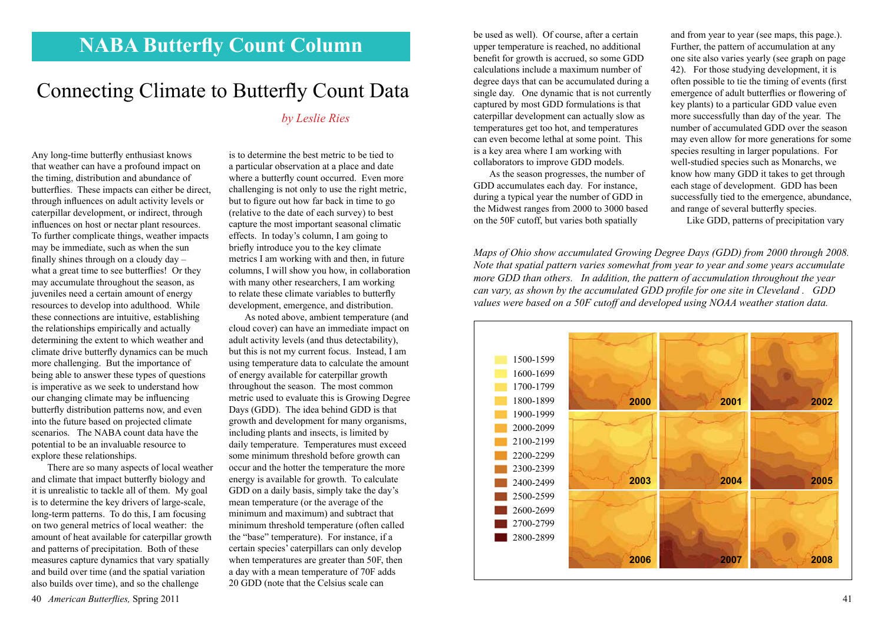## **NABA Butterfly Count Column**

## Connecting Climate to Butterfly Count Data

*by Leslie Ries*

Any long-time butterfly enthusiast knows that weather can have a profound impact on the timing, distribution and abundance of butterflies. These impacts can either be direct, through influences on adult activity levels or caterpillar development, or indirect, through influences on host or nectar plant resources. To further complicate things, weather impacts may be immediate, such as when the sun finally shines through on a cloudy day – what a great time to see butterflies! Or they may accumulate throughout the season, as juveniles need a certain amount of energy resources to develop into adulthood. While these connections are intuitive, establishing the relationships empirically and actually determining the extent to which weather and climate drive butterfly dynamics can be much more challenging. But the importance of being able to answer these types of questions is imperative as we seek to understand how our changing climate may be influencing butterfly distribution patterns now, and even into the future based on projected climate scenarios. The NABA count data have the potential to be an invaluable resource to explore these relationships.

There are so many aspects of local weather and climate that impact butterfly biology and it is unrealistic to tackle all of them. My goal is to determine the key drivers of large-scale, long-term patterns. To do this, I am focusing on two general metrics of local weather: the amount of heat available for caterpillar growth and patterns of precipitation. Both of these measures capture dynamics that vary spatially and build over time (and the spatial variation also builds over time), and so the challenge

is to determine the best metric to be tied to a particular observation at a place and date where a butterfly count occurred. Even more challenging is not only to use the right metric, but to figure out how far back in time to go (relative to the date of each survey) to best capture the most important seasonal climatic effects. In today's column, I am going to briefly introduce you to the key climate metrics I am working with and then, in future columns, I will show you how, in collaboration with many other researchers, I am working to relate these climate variables to butterfly development, emergence, and distribution.

As noted above, ambient temperature (and cloud cover) can have an immediate impact on adult activity levels (and thus detectability), but this is not my current focus. Instead, I am using temperature data to calculate the amount of energy available for caterpillar growth throughout the season. The most common metric used to evaluate this is Growing Degree Days (GDD). The idea behind GDD is that growth and development for many organisms, including plants and insects, is limited by daily temperature. Temperatures must exceed some minimum threshold before growth can occur and the hotter the temperature the more energy is available for growth. To calculate GDD on a daily basis, simply take the day's mean temperature (or the average of the minimum and maximum) and subtract that minimum threshold temperature (often called the "base" temperature). For instance, if a certain species' caterpillars can only develop when temperatures are greater than 50F, then a day with a mean temperature of 70F adds 20 GDD (note that the Celsius scale can

be used as well). Of course, after a certain upper temperature is reached, no additional benefit for growth is accrued, so some GDD calculations include a maximum number of degree days that can be accumulated during a single day. One dynamic that is not currently captured by most GDD formulations is that caterpillar development can actually slow as temperatures get too hot, and temperatures can even become lethal at some point. This is a key area where I am working with collaborators to improve GDD models.

As the season progresses, the number of GDD accumulates each day. For instance, during a typical year the number of GDD in the Midwest ranges from 2000 to 3000 based on the 50F cutoff, but varies both spatially

and from year to year (see maps, this page.). Further, the pattern of accumulation at any one site also varies yearly (see graph on page 42). For those studying development, it is often possible to tie the timing of events (first emergence of adult butterflies or flowering of key plants) to a particular GDD value even more successfully than day of the year. The number of accumulated GDD over the season may even allow for more generations for some species resulting in larger populations. For well-studied species such as Monarchs, we know how many GDD it takes to get through each stage of development. GDD has been successfully tied to the emergence, abundance, and range of several butterfly species.

Like GDD, patterns of precipitation vary

*Maps of Ohio show accumulated Growing Degree Days (GDD) from 2000 through 2008. Note that spatial pattern varies somewhat from year to year and some years accumulate more GDD than others. In addition, the pattern of accumulation throughout the year can vary, as shown by the accumulated GDD profile for one site in Cleveland . GDD values were based on a 50F cutoff and developed using NOAA weather station data.*